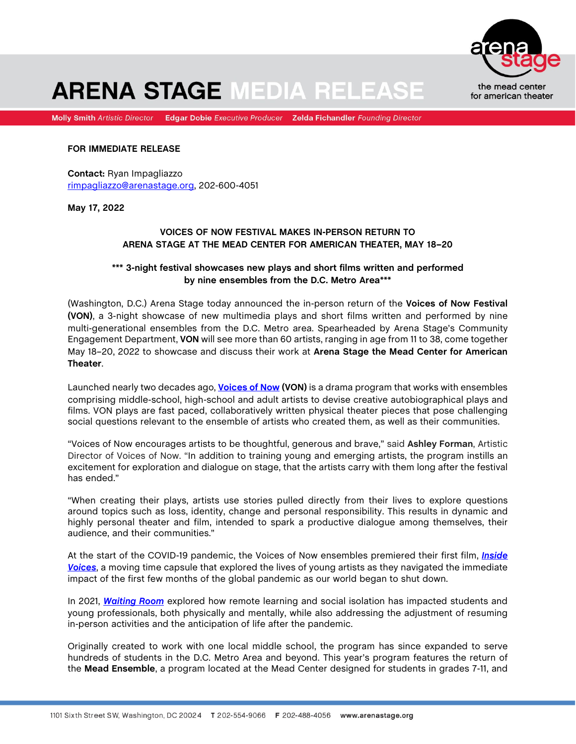

# **ARENA STAGE MEDIA RELEASE**

Molly Smith Artistic Director Edgar Dobie Executive Producer Zelda Fichandler Founding Director

#### **FOR IMMEDIATE RELEASE**

**Contact:** Ryan Impagliazzo rimpagliazzo@arenastage.org, 202-600-4051

**May 17, 2022**

## **VOICES OF NOW FESTIVAL MAKES IN-PERSON RETURN TO ARENA STAGE AT THE MEAD CENTER FOR AMERICAN THEATER, MAY 18–20**

### **\*\*\* 3-night festival showcases new plays and short films written and performed by nine ensembles from the D.C. Metro Area\*\*\***

(Washington, D.C.) Arena Stage today announced the in-person return of the **Voices of Now Festival (VON)**, a 3-night showcase of new multimedia plays and short films written and performed by nine multi-generational ensembles from the D.C. Metro area. Spearheaded by Arena Stage's Community Engagement Department, **VON** will see more than 60 artists, ranging in age from 11 to 38, come together May 18–20, 2022 to showcase and discuss their work at **Arena Stage the Mead Center for American Theater**.

Launched nearly two decades ago, **[Voices of Now](https://www.arenastage.org/voicesofnow) (VON)** is a drama program that works with ensembles comprising middle-school, high-school and adult artists to devise creative autobiographical plays and films. VON plays are fast paced, collaboratively written physical theater pieces that pose challenging social questions relevant to the ensemble of artists who created them, as well as their communities.

"Voices of Now encourages artists to be thoughtful, generous and brave," said **Ashley Forman**, Artistic Director of Voices of Now. "In addition to training young and emerging artists, the program instills an excitement for exploration and dialogue on stage, that the artists carry with them long after the festival has ended."

"When creating their plays, artists use stories pulled directly from their lives to explore questions around topics such as loss, identity, change and personal responsibility. This results in dynamic and highly personal theater and film, intended to spark a productive dialogue among themselves, their audience, and their communities."

At the start of the COVID-19 pandemic, the Voices of Now ensembles premiered their first film, *[Inside](https://www.youtube.com/watch?v=HTKKeJt5Deg)  [Voices](https://www.youtube.com/watch?v=HTKKeJt5Deg)*, a moving time capsule that explored the lives of young artists as they navigated the immediate impact of the first few months of the global pandemic as our world began to shut down.

In 2021, *[Waiting Room](https://www.youtube.com/watch?v=QGU_sauttdQ)* explored how remote learning and social isolation has impacted students and young professionals, both physically and mentally, while also addressing the adjustment of resuming in-person activities and the anticipation of life after the pandemic.

Originally created to work with one local middle school, the program has since expanded to serve hundreds of students in the D.C. Metro Area and beyond. This year's program features the return of the **Mead Ensemble**, a program located at the Mead Center designed for students in grades 7-11, and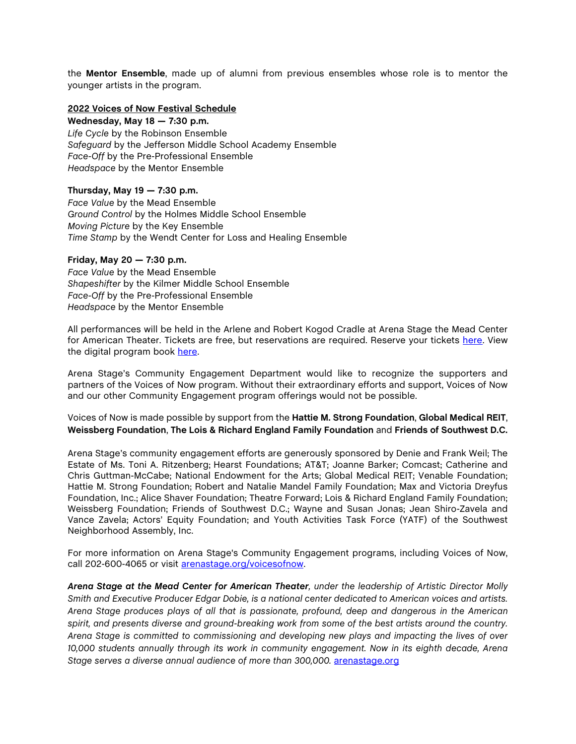the **Mentor Ensemble**, made up of alumni from previous ensembles whose role is to mentor the younger artists in the program.

### **2022 Voices of Now Festival Schedule**

**Wednesday, May 18 — 7:30 p.m.** *Life Cycle* by the Robinson Ensemble *Safeguard* by the Jefferson Middle School Academy Ensemble *Face-Off* by the Pre-Professional Ensemble *Headspace* by the Mentor Ensemble

#### **Thursday, May 19 — 7:30 p.m.**

*Face Value* by the Mead Ensemble *Ground Control* by the Holmes Middle School Ensemble *Moving Picture* by the Key Ensemble *Time Stamp* by the Wendt Center for Loss and Healing Ensemble

#### **Friday, May 20 — 7:30 p.m.**

*Face Value* by the Mead Ensemble *Shapeshifter* by the Kilmer Middle School Ensemble *Face-Off* by the Pre-Professional Ensemble *Headspace* by the Mentor Ensemble

All performances will be held in the Arlene and Robert Kogod Cradle at Arena Stage the Mead Center for American Theater. Tickets are free, but reservations are required. Reserve your tickets [here.](https://tickets.arenastage.org/events/33536) View the digital program book [here.](https://www.arenastage.org/voicesofnow#block-2022-Voices-of-Now-Festival)

Arena Stage's Community Engagement Department would like to recognize the supporters and partners of the Voices of Now program. Without their extraordinary efforts and support, Voices of Now and our other Community Engagement program offerings would not be possible.

Voices of Now is made possible by support from the **Hattie M. Strong Foundation**, **Global Medical REIT**, **Weissberg Foundation**, **The Lois & Richard England Family Foundation** and **Friends of Southwest D.C.**

Arena Stage's community engagement efforts are generously sponsored by Denie and Frank Weil; The Estate of Ms. Toni A. Ritzenberg; Hearst Foundations; AT&T; Joanne Barker; Comcast; Catherine and Chris Guttman-McCabe; National Endowment for the Arts; Global Medical REIT; Venable Foundation; Hattie M. Strong Foundation; Robert and Natalie Mandel Family Foundation; Max and Victoria Dreyfus Foundation, Inc.; Alice Shaver Foundation; Theatre Forward; Lois & Richard England Family Foundation; Weissberg Foundation; Friends of Southwest D.C.; Wayne and Susan Jonas; Jean Shiro-Zavela and Vance Zavela; Actors' Equity Foundation; and Youth Activities Task Force (YATF) of the Southwest Neighborhood Assembly, Inc.

For more information on Arena Stage's Community Engagement programs, including Voices of Now, call 202-600-4065 or visit [arenastage.org/voicesofnow.](https://www.arenastage.org/voicesofnow)

*Arena Stage at the Mead Center for American Theater, under the leadership of Artistic Director Molly Smith and Executive Producer Edgar Dobie, is a national center dedicated to American voices and artists. Arena Stage produces plays of all that is passionate, profound, deep and dangerous in the American spirit, and presents diverse and ground-breaking work from some of the best artists around the country. Arena Stage is committed to commissioning and developing new plays and impacting the lives of over 10,000 students annually through its work in community engagement. Now in its eighth decade, Arena*  Stage serves a diverse annual audience of more than 300,000. **[arenastage.org](http://arenastage.org/)**